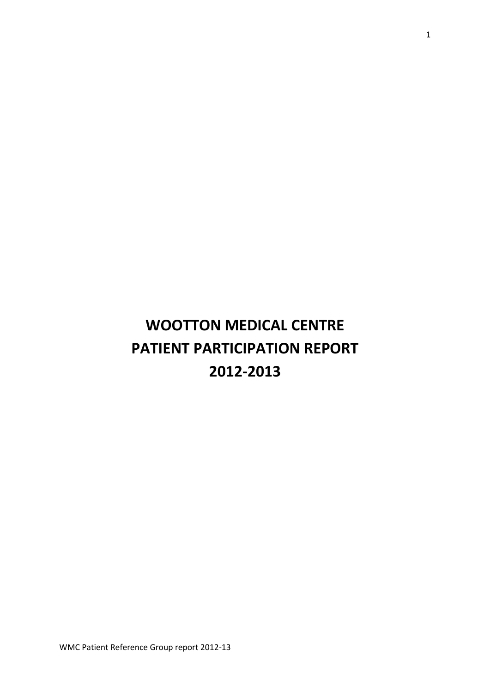# **WOOTTON MEDICAL CENTRE PATIENT PARTICIPATION REPORT 2012-2013**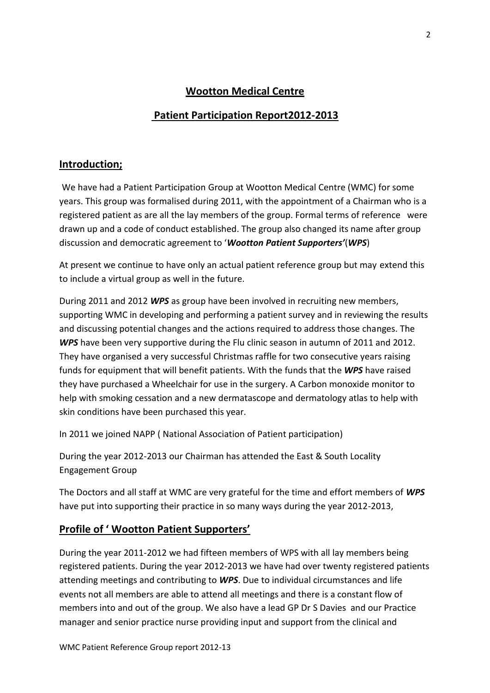# **Wootton Medical Centre**

# **Patient Participation Report2012-2013**

## **Introduction;**

We have had a Patient Participation Group at Wootton Medical Centre (WMC) for some years. This group was formalised during 2011, with the appointment of a Chairman who is a registered patient as are all the lay members of the group. Formal terms of reference were drawn up and a code of conduct established. The group also changed its name after group discussion and democratic agreement to '*Wootton Patient Supporters'*(*WPS*)

At present we continue to have only an actual patient reference group but may extend this to include a virtual group as well in the future.

During 2011 and 2012 *WPS* as group have been involved in recruiting new members, supporting WMC in developing and performing a patient survey and in reviewing the results and discussing potential changes and the actions required to address those changes. The *WPS* have been very supportive during the Flu clinic season in autumn of 2011 and 2012. They have organised a very successful Christmas raffle for two consecutive years raising funds for equipment that will benefit patients. With the funds that the *WPS* have raised they have purchased a Wheelchair for use in the surgery. A Carbon monoxide monitor to help with smoking cessation and a new dermatascope and dermatology atlas to help with skin conditions have been purchased this year.

In 2011 we joined NAPP ( National Association of Patient participation)

During the year 2012-2013 our Chairman has attended the East & South Locality Engagement Group

The Doctors and all staff at WMC are very grateful for the time and effort members of *WPS* have put into supporting their practice in so many ways during the year 2012-2013,

# **Profile of ' Wootton Patient Supporters'**

During the year 2011-2012 we had fifteen members of WPS with all lay members being registered patients. During the year 2012-2013 we have had over twenty registered patients attending meetings and contributing to *WPS*. Due to individual circumstances and life events not all members are able to attend all meetings and there is a constant flow of members into and out of the group. We also have a lead GP Dr S Davies and our Practice manager and senior practice nurse providing input and support from the clinical and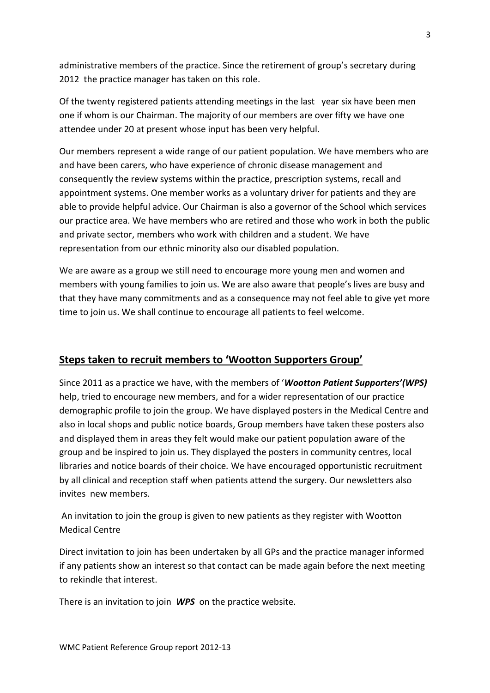administrative members of the practice. Since the retirement of group's secretary during 2012 the practice manager has taken on this role.

Of the twenty registered patients attending meetings in the last year six have been men one if whom is our Chairman. The majority of our members are over fifty we have one attendee under 20 at present whose input has been very helpful.

Our members represent a wide range of our patient population. We have members who are and have been carers, who have experience of chronic disease management and consequently the review systems within the practice, prescription systems, recall and appointment systems. One member works as a voluntary driver for patients and they are able to provide helpful advice. Our Chairman is also a governor of the School which services our practice area. We have members who are retired and those who work in both the public and private sector, members who work with children and a student. We have representation from our ethnic minority also our disabled population.

We are aware as a group we still need to encourage more young men and women and members with young families to join us. We are also aware that people's lives are busy and that they have many commitments and as a consequence may not feel able to give yet more time to join us. We shall continue to encourage all patients to feel welcome.

# **Steps taken to recruit members to 'Wootton Supporters Group'**

Since 2011 as a practice we have, with the members of '*Wootton Patient Supporters'(WPS)* help, tried to encourage new members, and for a wider representation of our practice demographic profile to join the group. We have displayed posters in the Medical Centre and also in local shops and public notice boards, Group members have taken these posters also and displayed them in areas they felt would make our patient population aware of the group and be inspired to join us. They displayed the posters in community centres, local libraries and notice boards of their choice*.* We have encouraged opportunistic recruitment by all clinical and reception staff when patients attend the surgery. Our newsletters also invites new members.

An invitation to join the group is given to new patients as they register with Wootton Medical Centre

Direct invitation to join has been undertaken by all GPs and the practice manager informed if any patients show an interest so that contact can be made again before the next meeting to rekindle that interest.

There is an invitation to join *WPS* on the practice website.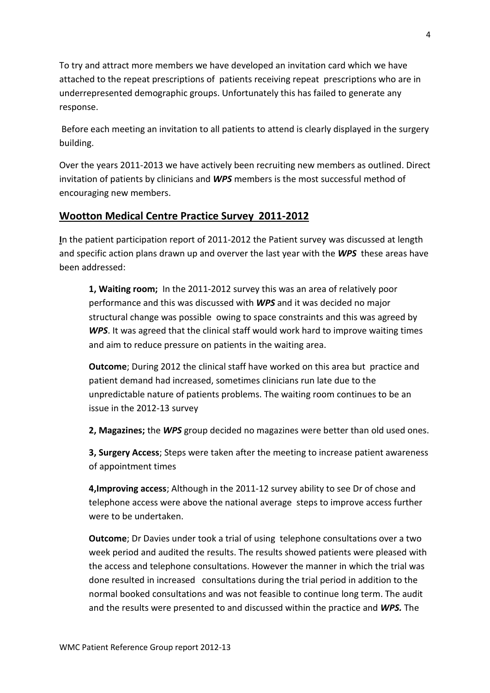To try and attract more members we have developed an invitation card which we have attached to the repeat prescriptions of patients receiving repeat prescriptions who are in underrepresented demographic groups. Unfortunately this has failed to generate any response.

Before each meeting an invitation to all patients to attend is clearly displayed in the surgery building.

Over the years 2011-2013 we have actively been recruiting new members as outlined. Direct invitation of patients by clinicians and *WPS* members is the most successful method of encouraging new members.

# **Wootton Medical Centre Practice Survey 2011-2012**

**I**n the patient participation report of 2011-2012 the Patient survey was discussed at length and specific action plans drawn up and overver the last year with the *WPS* these areas have been addressed:

**1, Waiting room;** In the 2011-2012 survey this was an area of relatively poor performance and this was discussed with *WPS* and it was decided no major structural change was possible owing to space constraints and this was agreed by WPS. It was agreed that the clinical staff would work hard to improve waiting times and aim to reduce pressure on patients in the waiting area.

**Outcome**; During 2012 the clinical staff have worked on this area but practice and patient demand had increased, sometimes clinicians run late due to the unpredictable nature of patients problems. The waiting room continues to be an issue in the 2012-13 survey

**2, Magazines;** the *WPS* group decided no magazines were better than old used ones.

**3, Surgery Access**; Steps were taken after the meeting to increase patient awareness of appointment times

**4,Improving access**; Although in the 2011-12 survey ability to see Dr of chose and telephone access were above the national average steps to improve access further were to be undertaken.

**Outcome**; Dr Davies under took a trial of using telephone consultations over a two week period and audited the results. The results showed patients were pleased with the access and telephone consultations. However the manner in which the trial was done resulted in increased consultations during the trial period in addition to the normal booked consultations and was not feasible to continue long term. The audit and the results were presented to and discussed within the practice and *WPS.* The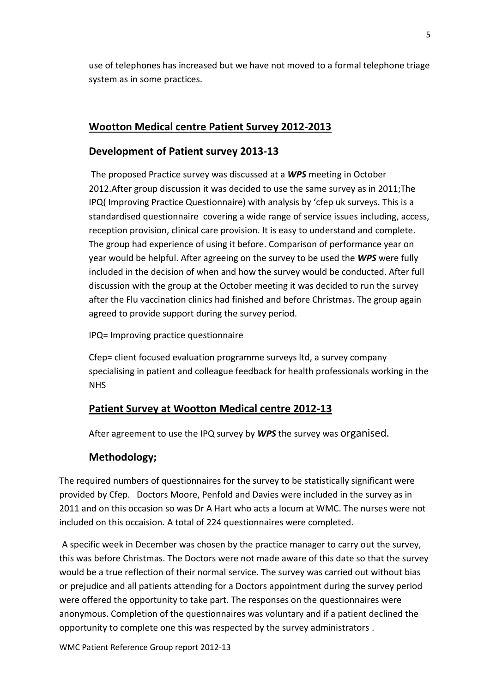use of telephones has increased but we have not moved to a formal telephone triage system as in some practices.

## **Wootton Medical centre Patient Survey 2012-2013**

## **Development of Patient survey 2013-13**

The proposed Practice survey was discussed at a *WPS* meeting in October 2012.After group discussion it was decided to use the same survey as in 2011;The IPQ( Improving Practice Questionnaire) with analysis by 'cfep uk surveys. This is a standardised questionnaire covering a wide range of service issues including, access, reception provision, clinical care provision. It is easy to understand and complete. The group had experience of using it before. Comparison of performance year on year would be helpful. After agreeing on the survey to be used the *WPS* were fully included in the decision of when and how the survey would be conducted. After full discussion with the group at the October meeting it was decided to run the survey after the Flu vaccination clinics had finished and before Christmas. The group again agreed to provide support during the survey period.

IPQ= Improving practice questionnaire

Cfep= client focused evaluation programme surveys ltd, a survey company specialising in patient and colleague feedback for health professionals working in the NHS

# **Patient Survey at Wootton Medical centre 2012-13**

After agreement to use the IPQ survey by *WPS* the survey was organised.

# **Methodology;**

The required numbers of questionnaires for the survey to be statistically significant were provided by Cfep. Doctors Moore, Penfold and Davies were included in the survey as in 2011 and on this occasion so was Dr A Hart who acts a locum at WMC. The nurses were not included on this occaision. A total of 224 questionnaires were completed.

A specific week in December was chosen by the practice manager to carry out the survey, this was before Christmas. The Doctors were not made aware of this date so that the survey would be a true reflection of their normal service. The survey was carried out without bias or prejudice and all patients attending for a Doctors appointment during the survey period were offered the opportunity to take part. The responses on the questionnaires were anonymous. Completion of the questionnaires was voluntary and if a patient declined the opportunity to complete one this was respected by the survey administrators .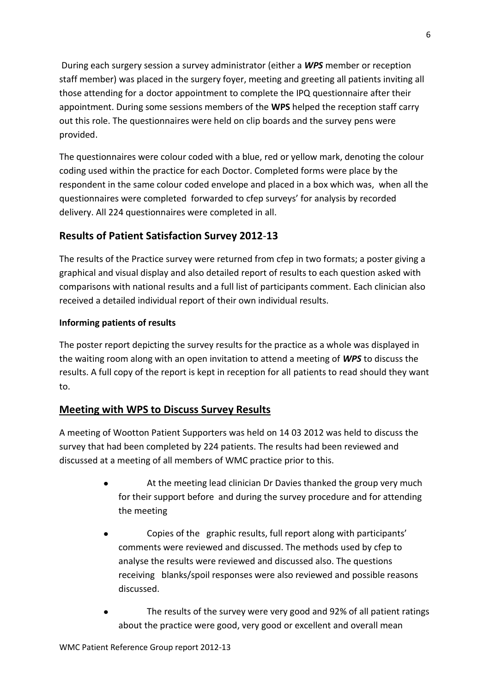During each surgery session a survey administrator (either a *WPS* member or reception staff member) was placed in the surgery foyer, meeting and greeting all patients inviting all those attending for a doctor appointment to complete the IPQ questionnaire after their appointment. During some sessions members of the **WPS** helped the reception staff carry out this role. The questionnaires were held on clip boards and the survey pens were provided.

The questionnaires were colour coded with a blue, red or yellow mark, denoting the colour coding used within the practice for each Doctor. Completed forms were place by the respondent in the same colour coded envelope and placed in a box which was, when all the questionnaires were completed forwarded to cfep surveys' for analysis by recorded delivery. All 224 questionnaires were completed in all.

# **Results of Patient Satisfaction Survey 2012**-**13**

The results of the Practice survey were returned from cfep in two formats; a poster giving a graphical and visual display and also detailed report of results to each question asked with comparisons with national results and a full list of participants comment. Each clinician also received a detailed individual report of their own individual results.

# **Informing patients of results**

The poster report depicting the survey results for the practice as a whole was displayed in the waiting room along with an open invitation to attend a meeting of *WPS* to discuss the results. A full copy of the report is kept in reception for all patients to read should they want to.

# **Meeting with WPS to Discuss Survey Results**

A meeting of Wootton Patient Supporters was held on 14 03 2012 was held to discuss the survey that had been completed by 224 patients. The results had been reviewed and discussed at a meeting of all members of WMC practice prior to this.

- At the meeting lead clinician Dr Davies thanked the group very much for their support before and during the survey procedure and for attending the meeting
- $\bullet$ Copies of the graphic results, full report along with participants' comments were reviewed and discussed. The methods used by cfep to analyse the results were reviewed and discussed also. The questions receiving blanks/spoil responses were also reviewed and possible reasons discussed.
- The results of the survey were very good and 92% of all patient ratings about the practice were good, very good or excellent and overall mean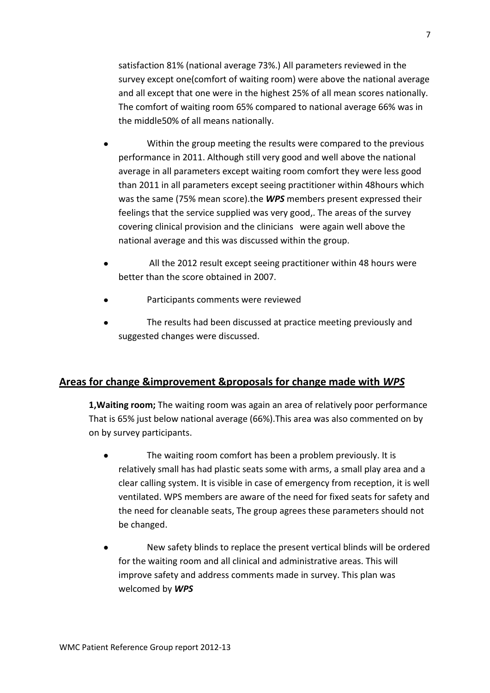satisfaction 81% (national average 73%.) All parameters reviewed in the survey except one(comfort of waiting room) were above the national average and all except that one were in the highest 25% of all mean scores nationally. The comfort of waiting room 65% compared to national average 66% was in the middle50% of all means nationally.

- Within the group meeting the results were compared to the previous performance in 2011. Although still very good and well above the national average in all parameters except waiting room comfort they were less good than 2011 in all parameters except seeing practitioner within 48hours which was the same (75% mean score).the *WPS* members present expressed their feelings that the service supplied was very good,. The areas of the survey covering clinical provision and the clinicians were again well above the national average and this was discussed within the group.
- All the 2012 result except seeing practitioner within 48 hours were better than the score obtained in 2007.
- Participants comments were reviewed
- The results had been discussed at practice meeting previously and suggested changes were discussed.

# **Areas for change &improvement &proposals for change made with** *WPS*

**1,Waiting room;** The waiting room was again an area of relatively poor performance That is 65% just below national average (66%).This area was also commented on by on by survey participants.

- The waiting room comfort has been a problem previously. It is relatively small has had plastic seats some with arms, a small play area and a clear calling system. It is visible in case of emergency from reception, it is well ventilated. WPS members are aware of the need for fixed seats for safety and the need for cleanable seats, The group agrees these parameters should not be changed.
- New safety blinds to replace the present vertical blinds will be ordered for the waiting room and all clinical and administrative areas. This will improve safety and address comments made in survey. This plan was welcomed by *WPS*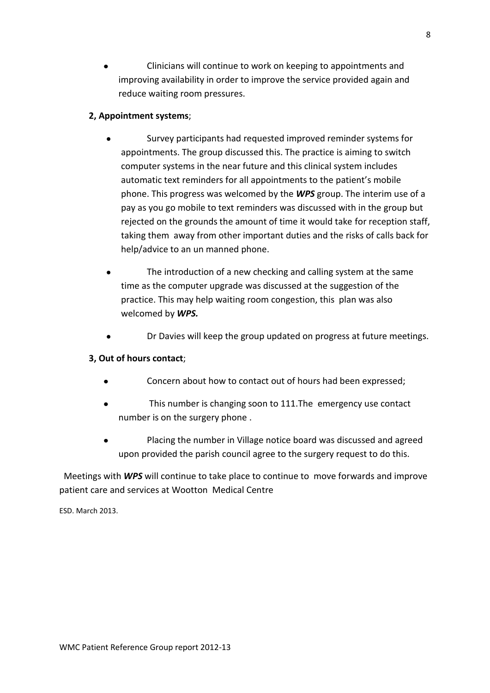Clinicians will continue to work on keeping to appointments and improving availability in order to improve the service provided again and reduce waiting room pressures.

### **2, Appointment systems**;

- Survey participants had requested improved reminder systems for appointments. The group discussed this. The practice is aiming to switch computer systems in the near future and this clinical system includes automatic text reminders for all appointments to the patient's mobile phone. This progress was welcomed by the *WPS* group. The interim use of a pay as you go mobile to text reminders was discussed with in the group but rejected on the grounds the amount of time it would take for reception staff, taking them away from other important duties and the risks of calls back for help/advice to an un manned phone.
- The introduction of a new checking and calling system at the same time as the computer upgrade was discussed at the suggestion of the practice. This may help waiting room congestion, this plan was also welcomed by *WPS.*
- Dr Davies will keep the group updated on progress at future meetings.

# **3, Out of hours contact**;

- Concern about how to contact out of hours had been expressed;
- This number is changing soon to 111.The emergency use contact number is on the surgery phone .
- Placing the number in Village notice board was discussed and agreed  $\bullet$ upon provided the parish council agree to the surgery request to do this.

 Meetings with *WPS* will continue to take place to continue to move forwards and improve patient care and services at Wootton Medical Centre

ESD. March 2013.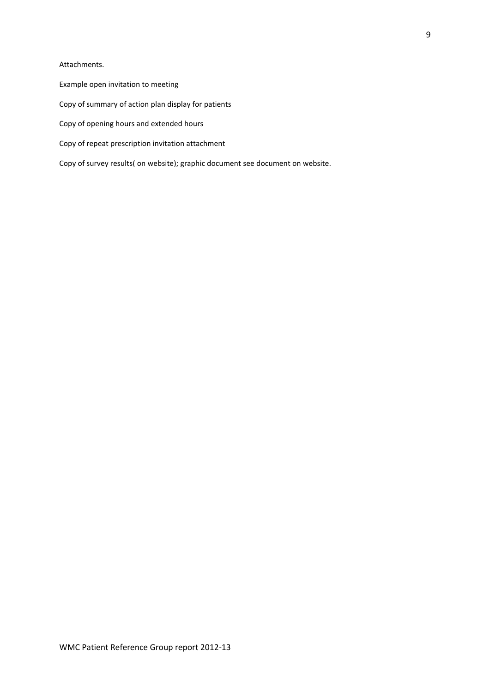#### Attachments.

- Example open invitation to meeting
- Copy of summary of action plan display for patients
- Copy of opening hours and extended hours
- Copy of repeat prescription invitation attachment
- Copy of survey results( on website); graphic document see document on website.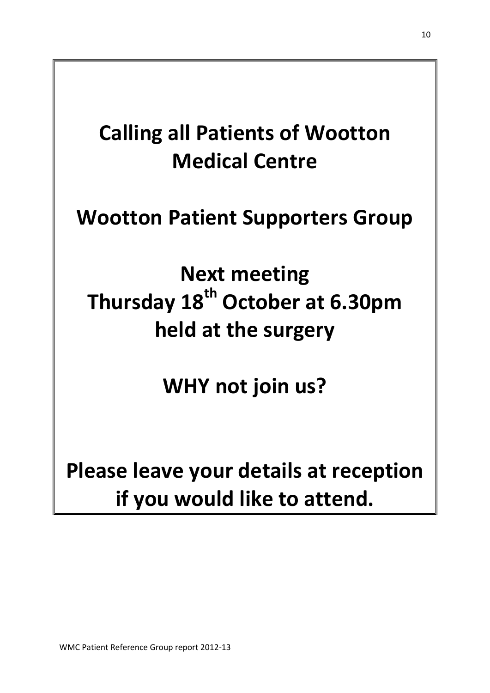# **Calling all Patients of Wootton Medical Centre**

# **Wootton Patient Supporters Group**

**Next meeting Thursday 18th October at 6.30pm held at the surgery**

**WHY not join us?**

**Please leave your details at reception if you would like to attend.**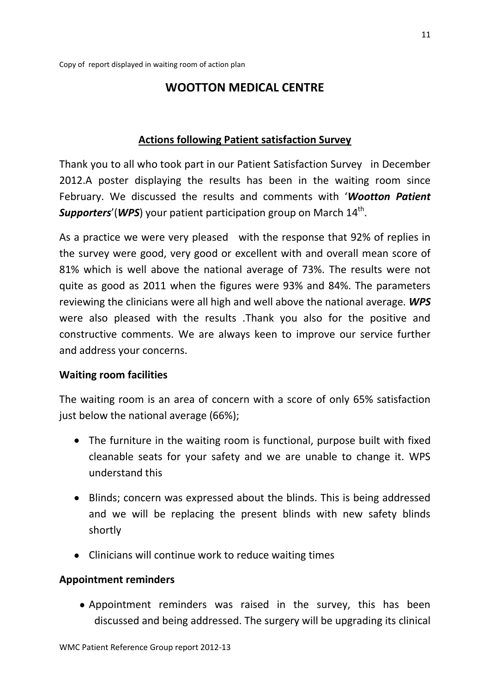# **WOOTTON MEDICAL CENTRE**

# **Actions following Patient satisfaction Survey**

Thank you to all who took part in our Patient Satisfaction Survey in December 2012.A poster displaying the results has been in the waiting room since February. We discussed the results and comments with '*Wootton Patient* Supporters'(WPS) your patient participation group on March 14<sup>th</sup>.

As a practice we were very pleased with the response that 92% of replies in the survey were good, very good or excellent with and overall mean score of 81% which is well above the national average of 73%. The results were not quite as good as 2011 when the figures were 93% and 84%. The parameters reviewing the clinicians were all high and well above the national average. *WPS* were also pleased with the results .Thank you also for the positive and constructive comments. We are always keen to improve our service further and address your concerns.

# **Waiting room facilities**

The waiting room is an area of concern with a score of only 65% satisfaction just below the national average (66%);

- The furniture in the waiting room is functional, purpose built with fixed cleanable seats for your safety and we are unable to change it. WPS understand this
- Blinds; concern was expressed about the blinds. This is being addressed and we will be replacing the present blinds with new safety blinds shortly
- Clinicians will continue work to reduce waiting times

# **Appointment reminders**

Appointment reminders was raised in the survey, this has been discussed and being addressed. The surgery will be upgrading its clinical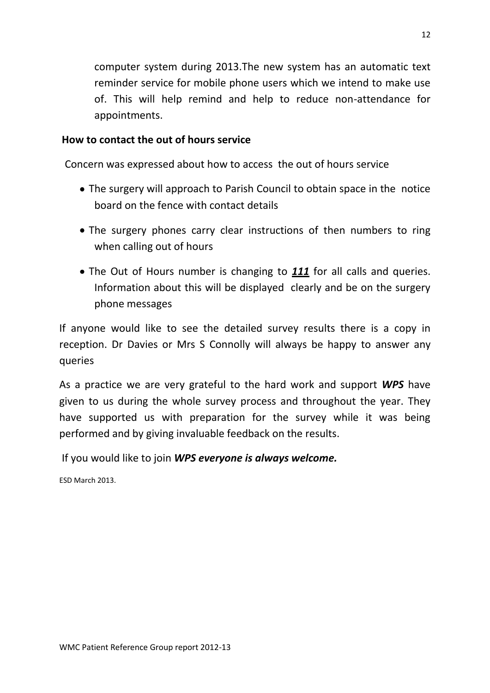computer system during 2013.The new system has an automatic text reminder service for mobile phone users which we intend to make use of. This will help remind and help to reduce non-attendance for appointments.

# **How to contact the out of hours service**

Concern was expressed about how to access the out of hours service

- The surgery will approach to Parish Council to obtain space in the notice board on the fence with contact details
- The surgery phones carry clear instructions of then numbers to ring when calling out of hours
- The Out of Hours number is changing to *111* for all calls and queries. Information about this will be displayed clearly and be on the surgery phone messages

If anyone would like to see the detailed survey results there is a copy in reception. Dr Davies or Mrs S Connolly will always be happy to answer any queries

As a practice we are very grateful to the hard work and support *WPS* have given to us during the whole survey process and throughout the year. They have supported us with preparation for the survey while it was being performed and by giving invaluable feedback on the results.

If you would like to join *WPS everyone is always welcome.*

ESD March 2013.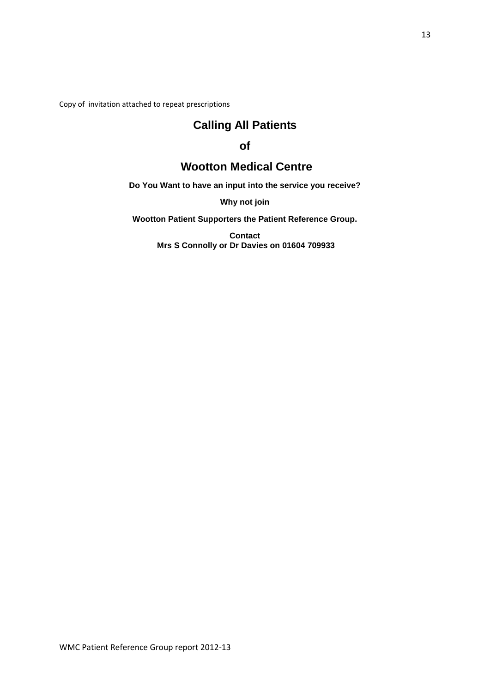Copy of invitation attached to repeat prescriptions

# **Calling All Patients**

# **of**

# **Wootton Medical Centre**

**Do You Want to have an input into the service you receive?**

**Why not join**

**Wootton Patient Supporters the Patient Reference Group.**

**Contact Mrs S Connolly or Dr Davies on 01604 709933**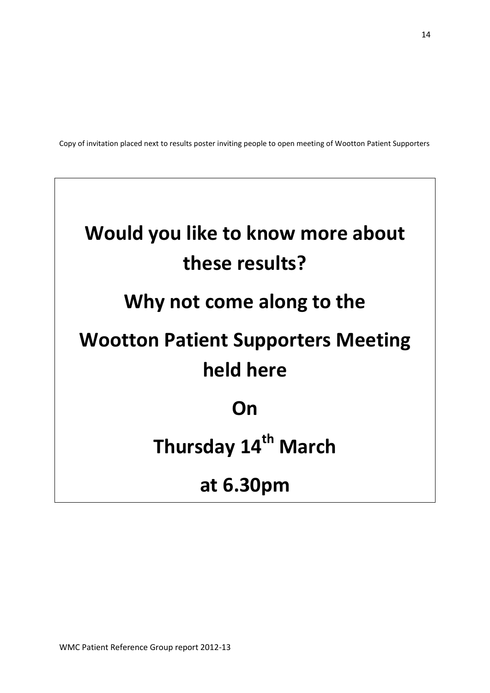Copy of invitation placed next to results poster inviting people to open meeting of Wootton Patient Supporters

# **Would you like to know more about these results? Why not come along to the Wootton Patient Supporters Meeting held here On Thursday 14th March**

# **at 6.30pm**